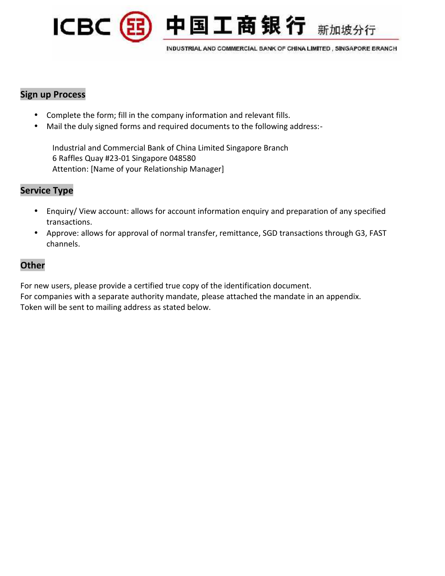

INDUSTRIAL AND COMMERCIAL BANK OF CHINA LIMITED, SINGAPORE BRANCH

中国工商银行 新加坡分行

## **Sign up Process**

- Complete the form; fill in the company information and relevant fills.
- Mail the duly signed forms and required documents to the following address:-

Industrial and Commercial Bank of China Limited Singapore Branch 6 Raffles Quay #23-01 Singapore 048580 Attention: [Name of your Relationship Manager]

## **Service Type**

- Enquiry/ View account: allows for account information enquiry and preparation of any specified transactions.
- Approve: allows for approval of normal transfer, remittance, SGD transactions through G3, FAST channels.

## **Other**

For new users, please provide a certified true copy of the identification document. For companies with a separate authority mandate, please attached the mandate in an appendix. Token will be sent to mailing address as stated below.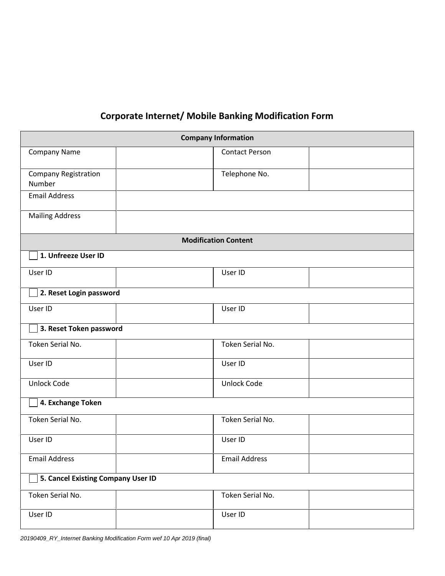## **Corporate Internet/ Mobile Banking Modification Form**

|                                    | <b>Company Information</b>  |  |
|------------------------------------|-----------------------------|--|
| Company Name                       | <b>Contact Person</b>       |  |
| Company Registration<br>Number     | Telephone No.               |  |
| <b>Email Address</b>               |                             |  |
| <b>Mailing Address</b>             |                             |  |
|                                    | <b>Modification Content</b> |  |
| 1. Unfreeze User ID                |                             |  |
| User ID                            | User ID                     |  |
| 2. Reset Login password            |                             |  |
| User ID                            | User ID                     |  |
| $\Box$ 3. Reset Token password     |                             |  |
| Token Serial No.                   | Token Serial No.            |  |
| User ID                            | User ID                     |  |
| Unlock Code                        | <b>Unlock Code</b>          |  |
| 4. Exchange Token                  |                             |  |
| Token Serial No.                   | Token Serial No.            |  |
| User ID                            | User ID                     |  |
| <b>Email Address</b>               | <b>Email Address</b>        |  |
| 5. Cancel Existing Company User ID |                             |  |
| Token Serial No.                   | Token Serial No.            |  |
| User ID                            | User ID                     |  |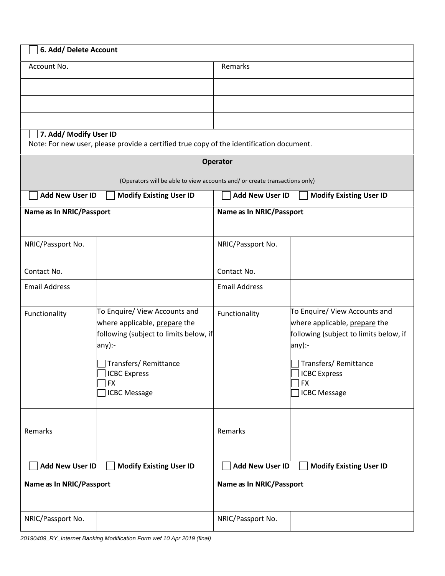| 6. Add/ Delete Account   |                                                                                                                                                                                                       |                          |                                                                                                                                                                                                        |
|--------------------------|-------------------------------------------------------------------------------------------------------------------------------------------------------------------------------------------------------|--------------------------|--------------------------------------------------------------------------------------------------------------------------------------------------------------------------------------------------------|
| Account No.              |                                                                                                                                                                                                       | Remarks                  |                                                                                                                                                                                                        |
|                          |                                                                                                                                                                                                       |                          |                                                                                                                                                                                                        |
|                          |                                                                                                                                                                                                       |                          |                                                                                                                                                                                                        |
|                          |                                                                                                                                                                                                       |                          |                                                                                                                                                                                                        |
| 7. Add/ Modify User ID   | Note: For new user, please provide a certified true copy of the identification document.                                                                                                              |                          |                                                                                                                                                                                                        |
|                          |                                                                                                                                                                                                       | <b>Operator</b>          |                                                                                                                                                                                                        |
|                          | (Operators will be able to view accounts and/ or create transactions only)                                                                                                                            |                          |                                                                                                                                                                                                        |
| <b>Add New User ID</b>   | <b>Modify Existing User ID</b>                                                                                                                                                                        | <b>Add New User ID</b>   | <b>Modify Existing User ID</b>                                                                                                                                                                         |
| Name as In NRIC/Passport |                                                                                                                                                                                                       | Name as In NRIC/Passport |                                                                                                                                                                                                        |
| NRIC/Passport No.        |                                                                                                                                                                                                       | NRIC/Passport No.        |                                                                                                                                                                                                        |
| Contact No.              |                                                                                                                                                                                                       | Contact No.              |                                                                                                                                                                                                        |
| <b>Email Address</b>     |                                                                                                                                                                                                       | <b>Email Address</b>     |                                                                                                                                                                                                        |
| Functionality            | To Enquire/ View Accounts and<br>where applicable, prepare the<br>following (subject to limits below, if<br>any):-<br>Transfers/Remittance<br><b>ICBC Express</b><br><b>FX</b><br><b>ICBC Message</b> | Functionality            | To Enquire/ View Accounts and<br>where applicable, prepare the<br>following (subject to limits below, if<br>any):-<br>Transfers/ Remittance<br><b>ICBC Express</b><br><b>FX</b><br><b>ICBC Message</b> |
| Remarks                  |                                                                                                                                                                                                       | Remarks                  |                                                                                                                                                                                                        |
| <b>Add New User ID</b>   | <b>Modify Existing User ID</b>                                                                                                                                                                        | <b>Add New User ID</b>   | <b>Modify Existing User ID</b>                                                                                                                                                                         |
| Name as In NRIC/Passport |                                                                                                                                                                                                       | Name as In NRIC/Passport |                                                                                                                                                                                                        |
| NRIC/Passport No.        |                                                                                                                                                                                                       | NRIC/Passport No.        |                                                                                                                                                                                                        |

*20190409\_RY\_Internet Banking Modification Form wef 10 Apr 2019 (final)*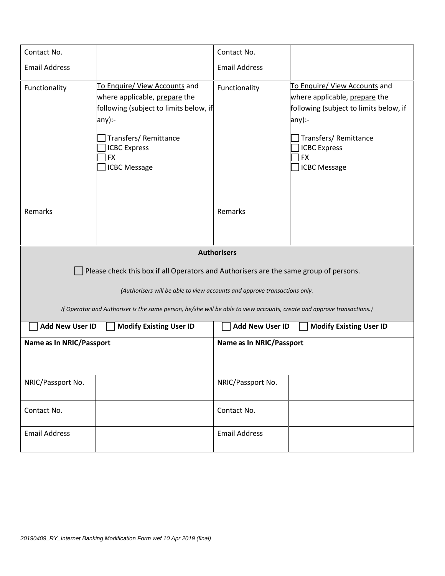| Contact No.              |                                                                                                                                                                                                 | Contact No.                     |                                                                                                                                                                                                       |
|--------------------------|-------------------------------------------------------------------------------------------------------------------------------------------------------------------------------------------------|---------------------------------|-------------------------------------------------------------------------------------------------------------------------------------------------------------------------------------------------------|
| <b>Email Address</b>     |                                                                                                                                                                                                 | <b>Email Address</b>            |                                                                                                                                                                                                       |
| Functionality            | To Enquire/ View Accounts and<br>where applicable, prepare the<br>following (subject to limits below, if<br>any):-<br>Transfers/Remittance<br><b>ICBC Express</b><br> FX<br><b>ICBC Message</b> | Functionality                   | To Enquire/ View Accounts and<br>where applicable, prepare the<br>following (subject to limits below, if<br>any):-<br>Transfers/Remittance<br><b>ICBC Express</b><br><b>FX</b><br><b>ICBC Message</b> |
| Remarks                  |                                                                                                                                                                                                 | Remarks                         |                                                                                                                                                                                                       |
|                          |                                                                                                                                                                                                 | <b>Authorisers</b>              |                                                                                                                                                                                                       |
|                          | Please check this box if all Operators and Authorisers are the same group of persons.                                                                                                           |                                 |                                                                                                                                                                                                       |
|                          | (Authorisers will be able to view accounts and approve transactions only.                                                                                                                       |                                 |                                                                                                                                                                                                       |
|                          | If Operator and Authoriser is the same person, he/she will be able to view accounts, create and approve transactions.)                                                                          |                                 |                                                                                                                                                                                                       |
| <b>Add New User ID</b>   | <b>Modify Existing User ID</b>                                                                                                                                                                  | <b>Add New User ID</b>          | <b>Modify Existing User ID</b>                                                                                                                                                                        |
| Name as In NRIC/Passport |                                                                                                                                                                                                 | <b>Name as In NRIC/Passport</b> |                                                                                                                                                                                                       |
| NRIC/Passport No.        |                                                                                                                                                                                                 | NRIC/Passport No.               |                                                                                                                                                                                                       |
| Contact No.              |                                                                                                                                                                                                 | Contact No.                     |                                                                                                                                                                                                       |
| <b>Email Address</b>     |                                                                                                                                                                                                 | <b>Email Address</b>            |                                                                                                                                                                                                       |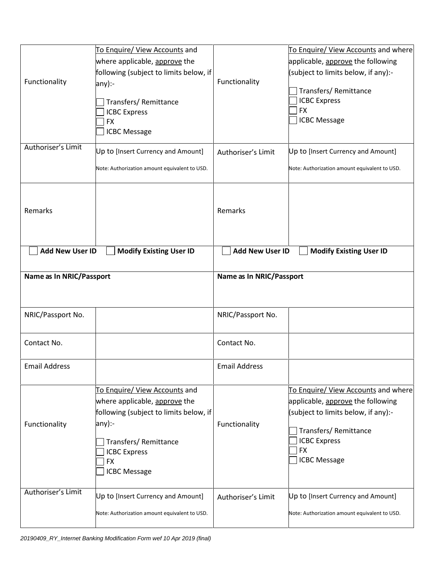| Functionality            | To Enquire/ View Accounts and<br>where applicable, approve the<br>following (subject to limits below, if<br>$ any$ :-<br>Transfers/Remittance<br><b>ICBC Express</b><br><b>FX</b><br><b>ICBC Message</b> | Functionality            | To Enquire/ View Accounts and where<br>applicable, approve the following<br>(subject to limits below, if any):-<br>Transfers/Remittance<br><b>ICBC Express</b><br><b>FX</b><br><b>ICBC Message</b> |
|--------------------------|----------------------------------------------------------------------------------------------------------------------------------------------------------------------------------------------------------|--------------------------|----------------------------------------------------------------------------------------------------------------------------------------------------------------------------------------------------|
| Authoriser's Limit       | Up to [Insert Currency and Amount]<br>Note: Authorization amount equivalent to USD.                                                                                                                      | Authoriser's Limit       | Up to [Insert Currency and Amount]<br>Note: Authorization amount equivalent to USD.                                                                                                                |
| Remarks                  |                                                                                                                                                                                                          | Remarks                  |                                                                                                                                                                                                    |
| <b>Add New User ID</b>   | <b>Modify Existing User ID</b>                                                                                                                                                                           | <b>Add New User ID</b>   | <b>Modify Existing User ID</b>                                                                                                                                                                     |
| Name as In NRIC/Passport |                                                                                                                                                                                                          | Name as In NRIC/Passport |                                                                                                                                                                                                    |
|                          |                                                                                                                                                                                                          |                          |                                                                                                                                                                                                    |
| NRIC/Passport No.        |                                                                                                                                                                                                          | NRIC/Passport No.        |                                                                                                                                                                                                    |
| Contact No.              |                                                                                                                                                                                                          | Contact No.              |                                                                                                                                                                                                    |
| <b>Email Address</b>     |                                                                                                                                                                                                          | <b>Email Address</b>     |                                                                                                                                                                                                    |
| Functionality            | To Enquire/ View Accounts and<br>where applicable, approve the<br>following (subject to limits below, if<br>$any$ :-<br>Transfers/Remittance<br><b>ICBC Express</b><br><b>FX</b><br><b>ICBC Message</b>  | Functionality            | To Enquire/ View Accounts and where<br>applicable, approve the following<br>(subject to limits below, if any):-<br>Transfers/Remittance<br><b>ICBC Express</b><br><b>FX</b><br><b>ICBC Message</b> |